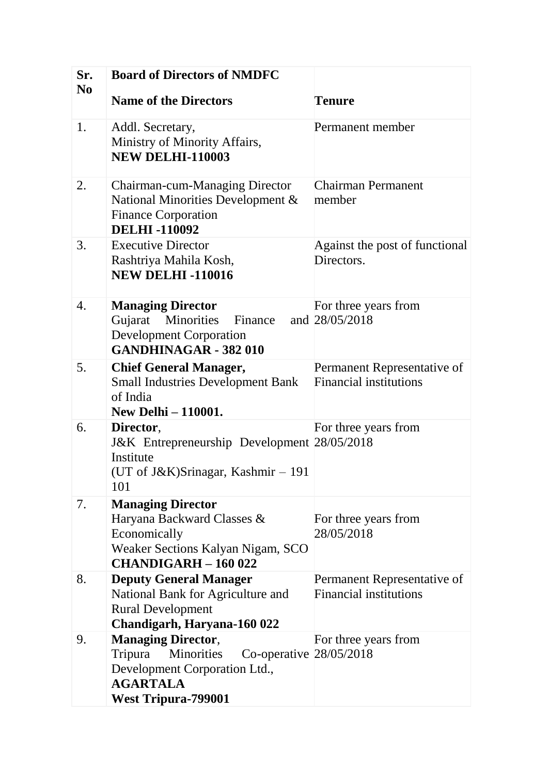| Sr.<br>N <sub>0</sub> | <b>Board of Directors of NMDFC</b>                                                                                                                                |                                                              |
|-----------------------|-------------------------------------------------------------------------------------------------------------------------------------------------------------------|--------------------------------------------------------------|
|                       | <b>Name of the Directors</b>                                                                                                                                      | <b>Tenure</b>                                                |
| 1.                    | Addl. Secretary,<br>Ministry of Minority Affairs,<br><b>NEW DELHI-110003</b>                                                                                      | Permanent member                                             |
| 2.                    | <b>Chairman-cum-Managing Director</b><br>National Minorities Development &<br><b>Finance Corporation</b><br><b>DELHI-110092</b>                                   | <b>Chairman Permanent</b><br>member                          |
| 3.                    | <b>Executive Director</b><br>Rashtriya Mahila Kosh,<br><b>NEW DELHI-110016</b>                                                                                    | Against the post of functional<br>Directors.                 |
| 4.                    | <b>Managing Director</b><br>Minorities<br>Gujarat<br>Finance<br><b>Development Corporation</b><br><b>GANDHINAGAR - 382 010</b>                                    | For three years from<br>and 28/05/2018                       |
| 5.                    | <b>Chief General Manager,</b><br><b>Small Industries Development Bank</b><br>of India<br><b>New Delhi - 110001.</b>                                               | Permanent Representative of<br><b>Financial institutions</b> |
| 6.                    | Director,<br>J&K Entrepreneurship Development 28/05/2018<br>Institute<br>(UT of J&K)Srinagar, Kashmir – 191<br>101                                                | For three years from                                         |
| 7.                    | <b>Managing Director</b><br>Haryana Backward Classes &<br>Economically<br>Weaker Sections Kalyan Nigam, SCO<br><b>CHANDIGARH - 160 022</b>                        | For three years from<br>28/05/2018                           |
| 8.                    | <b>Deputy General Manager</b><br>National Bank for Agriculture and<br><b>Rural Development</b><br>Chandigarh, Haryana-160 022                                     | Permanent Representative of<br><b>Financial institutions</b> |
| 9.                    | <b>Managing Director,</b><br>Tripura<br>Minorities<br>Co-operative $28/05/2018$<br>Development Corporation Ltd.,<br><b>AGARTALA</b><br><b>West Tripura-799001</b> | For three years from                                         |